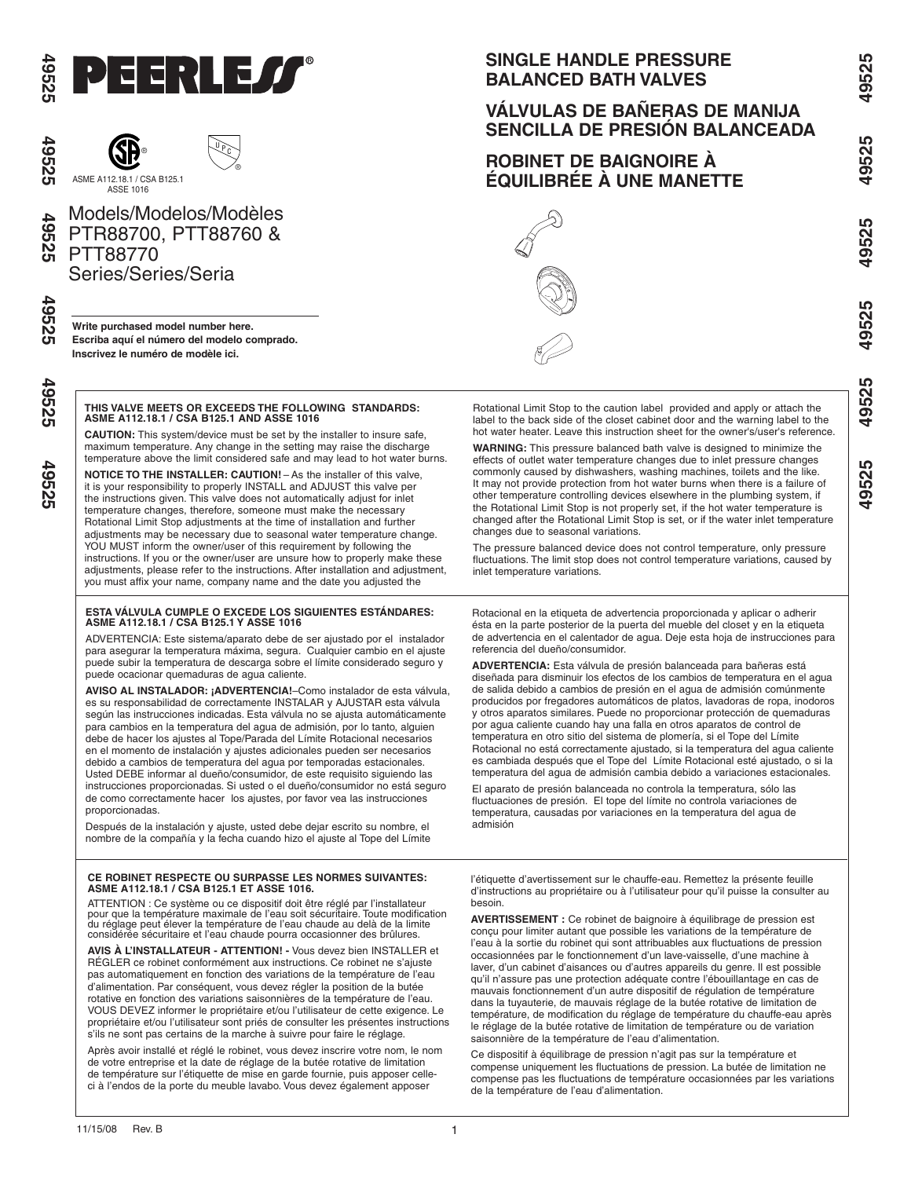

श्टे

49525

49525

49525



Models/Modelos/Modèles PTR88700, PTT88760 & PTT88770 Series/Series/Seria

**Write purchased model number here. Escriba aquí el número del modelo comprado. Inscrivez le numéro de modèle ici.**

#### **THIS VALVE MEETS OR EXCEEDS THE FOLLOWING STANDARDS: ASME A112.18.1 / CSA B125.1 AND ASSE 1016**

**CAUTION:** This system/device must be set by the installer to insure safe, maximum temperature. Any change in the setting may raise the discharge temperature above the limit considered safe and may lead to hot water burns.

**NOTICE TO THE INSTALLER: CAUTION!** – As the installer of this valve, it is your responsibility to properly INSTALL and ADJUST this valve per the instructions given. This valve does not automatically adjust for inlet temperature changes, therefore, someone must make the necessary Rotational Limit Stop adjustments at the time of installation and further adjustments may be necessary due to seasonal water temperature change. YOU MUST inform the owner/user of this requirement by following the instructions. If you or the owner/user are unsure how to properly make these adjustments, please refer to the instructions. After installation and adjustment, you must affix your name, company name and the date you adjusted the

# **ESTA VÁLVULA CUMPLE O EXCEDE LOS SIGUIENTES ESTÁNDARES: ASME A112.18.1 / CSA B125.1 Y ASSE 1016**

ADVERTENCIA: Este sistema/aparato debe de ser ajustado por el instalador para asegurar la temperatura máxima, segura. Cualquier cambio en el ajuste puede subir la temperatura de descarga sobre el límite considerado seguro y puede ocacionar quemaduras de agua caliente.

**AVISO AL INSTALADOR: ¡ADVERTENCIA!**–Como instalador de esta válvula, es su responsabilidad de correctamente INSTALAR y AJUSTAR esta válvula según las instrucciones indicadas. Esta válvula no se ajusta automáticamente para cambios en la temperatura del agua de admisión, por lo tanto, alguien debe de hacer los ajustes al Tope/Parada del Límite Rotacional necesarios en el momento de instalación y ajustes adicionales pueden ser necesarios debido a cambios de temperatura del agua por temporadas estacionales. Usted DEBE informar al dueño/consumidor, de este requisito siguiendo las instrucciones proporcionadas. Si usted o el dueño/consumidor no está seguro de como correctamente hacer los ajustes, por favor vea las instrucciones proporcionadas.

Después de la instalación y ajuste, usted debe dejar escrito su nombre, el nombre de la compañía y la fecha cuando hizo el ajuste al Tope del Límite

### **CE ROBINET RESPECTE OU SURPASSE LES NORMES SUIVANTES: ASME A112.18.1 / CSA B125.1 ET ASSE 1016.**

ATTENTION : Ce système ou ce dispositif doit être réglé par l'installateur pour que la température maximale de l'eau soit sécuritaire. Toute modification du réglage peut élever la température de l'eau chaude au delà de la limite considérée sécuritaire et l'eau chaude pourra occasionner des brûlures.

**AVIS À L'INSTALLATEUR - ATTENTION! -** Vous devez bien INSTALLER et RÉGLER ce robinet conformément aux instructions. Ce robinet ne s'ajuste pas automatiquement en fonction des variations de la température de l'eau d'alimentation. Par conséquent, vous devez régler la position de la butée rotative en fonction des variations saisonnières de la température de l'eau. VOUS DEVEZ informer le propriétaire et/ou l'utilisateur de cette exigence. Le propriétaire et/ou l'utilisateur sont priés de consulter les présentes instructions s'ils ne sont pas certains de la marche à suivre pour faire le réglage.

Après avoir installé et réglé le robinet, vous devez inscrire votre nom, le nom de votre entreprise et la date de réglage de la butée rotative de limitation de température sur l'étiquette de mise en garde fournie, puis apposer celleci à l'endos de la porte du meuble lavabo. Vous devez également apposer

# **SINGLE HANDLE PRESSURE BALANCED BATH VALVES**

# **VÁLVULAS DE BAÑERAS DE MANIJA SENCILLA DE PRESIÓN BALANCEADA**

# **ROBINET DE BAIGNOIRE À ÉQUILIBRÉE À UNE MANETTE** ®



Rotational Limit Stop to the caution label provided and apply or attach the label to the back side of the closet cabinet door and the warning label to the hot water heater. Leave this instruction sheet for the owner's/user's reference.

**WARNING:** This pressure balanced bath valve is designed to minimize the effects of outlet water temperature changes due to inlet pressure changes commonly caused by dishwashers, washing machines, toilets and the like. It may not provide protection from hot water burns when there is a failure of other temperature controlling devices elsewhere in the plumbing system, if the Rotational Limit Stop is not properly set, if the hot water temperature is changed after the Rotational Limit Stop is set, or if the water inlet temperature changes due to seasonal variations.

The pressure balanced device does not control temperature, only pressure fluctuations. The limit stop does not control temperature variations, caused by inlet temperature variations.

Rotacional en la etiqueta de advertencia proporcionada y aplicar o adherir ésta en la parte posterior de la puerta del mueble del closet y en la etiqueta de advertencia en el calentador de agua. Deje esta hoja de instrucciones para referencia del dueño/consumidor.

**ADVERTENCIA:** Esta válvula de presión balanceada para bañeras está diseñada para disminuir los efectos de los cambios de temperatura en el agua de salida debido a cambios de presión en el agua de admisión comúnmente producidos por fregadores automáticos de platos, lavadoras de ropa, inodoros y otros aparatos similares. Puede no proporcionar protección de quemaduras por agua caliente cuando hay una falla en otros aparatos de control de temperatura en otro sitio del sistema de plomería, si el Tope del Límite Rotacional no está correctamente ajustado, si la temperatura del agua caliente es cambiada después que el Tope del Límite Rotacional esté ajustado, o si la temperatura del agua de admisión cambia debido a variaciones estacionales.

El aparato de presión balanceada no controla la temperatura, sólo las fluctuaciones de presión. El tope del límite no controla variaciones de temperatura, causadas por variaciones en la temperatura del agua de admisión

l'étiquette d'avertissement sur le chauffe-eau. Remettez la présente feuille d'instructions au propriétaire ou à l'utilisateur pour qu'il puisse la consulter au besoin.

**AVERTISSEMENT :** Ce robinet de baignoire à équilibrage de pression est conçu pour limiter autant que possible les variations de la température de l'eau à la sortie du robinet qui sont attribuables aux fluctuations de pression occasionnées par le fonctionnement d'un lave-vaisselle, d'une machine à laver, d'un cabinet d'aisances ou d'autres appareils du genre. Il est possible qu'il n'assure pas une protection adéquate contre l'ébouillantage en cas de mauvais fonctionnement d'un autre dispositif de régulation de température dans la tuyauterie, de mauvais réglage de la butée rotative de limitation de température, de modification du réglage de température du chauffe-eau après le réglage de la butée rotative de limitation de température ou de variation saisonnière de la température de l'eau d'alimentation.

Ce dispositif à équilibrage de pression n'agit pas sur la température et compense uniquement les fluctuations de pression. La butée de limitation ne compense pas les fluctuations de température occasionnées par les variations de la température de l'eau d'alimentation.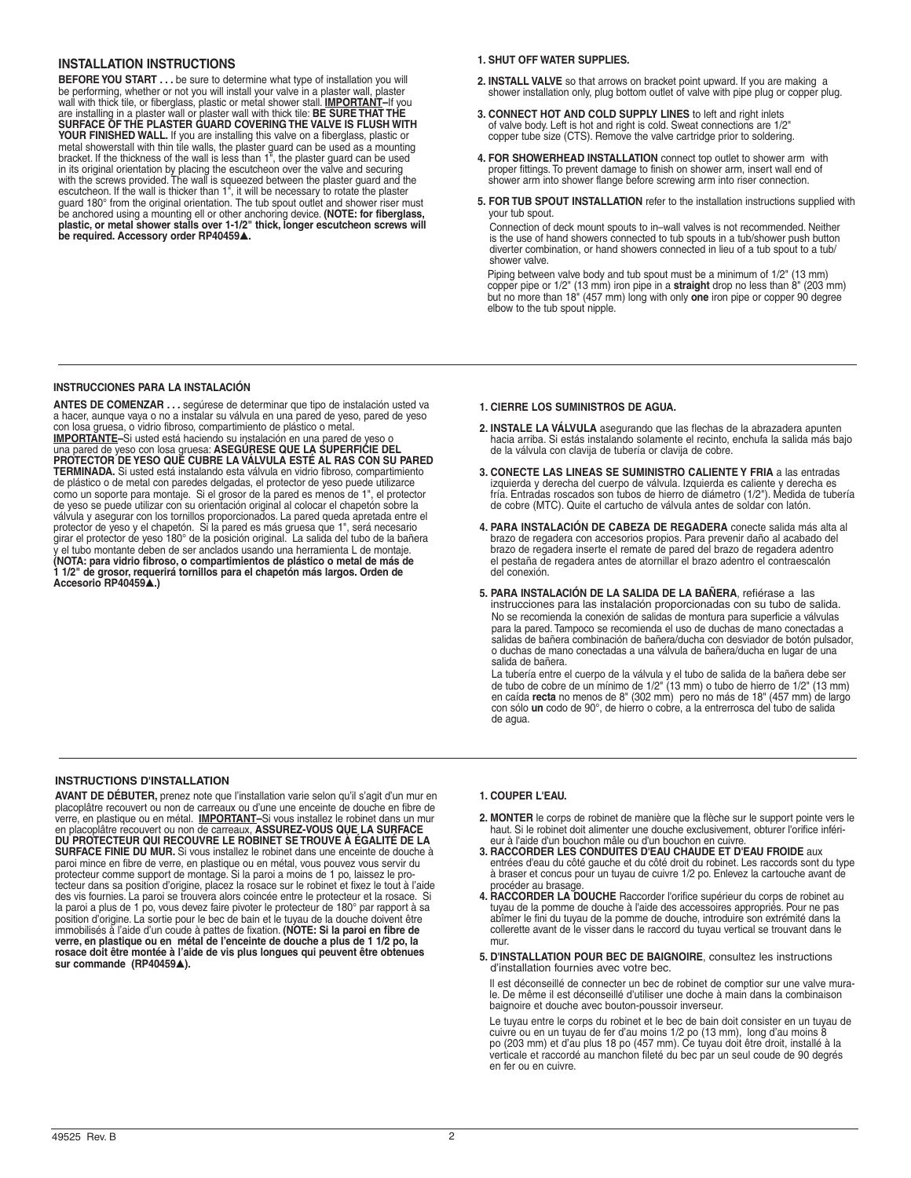## **Installation instructions**

**BEFORE YOU START . . .** be sure to determine what type of installation you will be performing, whether or not you will install your valve in a plaster wall, plaster wall with thick tile, or fiberglass, plastic or metal shower stall. **IMPORTANT–**If you are installing in a plaster wall or plaster wall with thick tile: **BE SURE THAT THE SURFACE OF THE PLASTER GUARD COVERING THE VALVE IS FLUSH WITH YOUR FINISHED WALL.** If you are installing this valve on a fiberglass, plastic or metal showerstall with thin tile walls, the plaster guard can be used as a m **be required. Accessory order RP40459**▲**.**

### **1. SHUT OFF WATER SUPPLIES.**

- **2. INSTALL VALVE** so that arrows on bracket point upward. If you are making a shower installation only, plug bottom outlet of valve with pipe plug or copper plug.
- **3. CONNECT HOT AND COLD SUPPLY LINES** to left and right inlets of valve body. Left is hot and right is cold. Sweat connections are 1/2" copper tube size (CTS). Remove the valve cartridge prior to soldering.
- **4. FOR SHOWERHEAD INSTALLATION** connect top outlet to shower arm with proper fittings. To prevent damage to finish on shower arm, insert wall end of shower arm into shower flange before screwing arm into riser connection.
- **5. For tub spout installation** refer to the installation instructions supplied with your tub spout.

Connection of deck mount spouts to in–wall valves is not recommended. Neither is the use of hand showers connected to tub spouts in a tub/shower push button diverter combination, or hand showers connected in lieu of a tub spout to a tub/ shower valve.

Piping between valve body and tub spout must be a minimum of 1/2" (13 mm) copper pipe or 1/2" (13 mm) iron pipe in a **straight** drop no less than 8" (203 mm) but no more than 18" (457 mm) long with only **one** iron pipe or copper 90 degree elbow to the tub spout nipple.

### **Instrucciones para la instalación**

**ANTES DE COMENZAR** *. . .* segúrese de determinar que tipo de instalación usted va a hacer, aunque vaya o no a instalar su válvula en una pared de yeso, pared de yeso con losa gruesa, o vidrio fibroso, compartimiento de plástico o metal. <u>IMPORTANTE</u>–Si usted está haciendo su instalación en una pared de yeso o<br>una pared de yeso con losa gruesa: ASEGÚRESE QUE LA SUPERFICIE DEL<br>PROTECTOR DE YESO QUE CUBRE LA VÁLVULA ESTÉ AL RAS CON SU PARED **TERMINADA.** Si usted está instalando esta válvula en vidrio fibroso, compartimiento de plástico o de metal con paredes delgadas, el protector de yeso puede utilizarce como un soporte para montaje. Si el grosor de la pared es menos de 1", el protector de yeso se puede utilizar con su orientación original al colocar el chapetón sobre la<br>válvula y asegurar con los tornillos proporcionados. La pared queda apretada entre el<br>protector de yeso y el chapetón. Si la pared es má y el tubo montante deben de ser anclados usando una herramienta L de montaje. **(NOTA: para vidrio fibroso, o compartimientos de plástico o metal de más de 1 1/2" de grosor, requerirá tornillos para el chapetón más largos. Orden de Accesorio RP40459**▲**.)** 

- **1. CIERRE LOS SUMINISTROS DE AGUA.**
- **2. INSTALE LA VÁLVULA** asegurando que las flechas de la abrazadera apunten hacia arriba. Si estás instalando solamente el recinto, enchufa la salida más bajo de la válvula con clavija de tubería or clavija de cobre.
- **3. CONECTE LAS LINEAS SE SUMINISTRO CALIENTE Y FRIA** a las entradas izquierda y derecha del cuerpo de válvula. Izquierda es caliente y derecha es fría. Entradas roscados son tubos de hierro de diámetro (1/2"). Medida de tubería de cobre (MTC). Quite el cartucho de válvula antes de soldar con latón.
- **4. PARA INSTALACIÓN DE CABEZA DE REGADERA** conecte salida más alta al brazo de regadera con accesorios propios. Para prevenir daño al acabado del brazo de regadera inserte el remate de pared del brazo de regadera adentro el pestaña de regadera antes de atornillar el brazo adentro el contraescalón del conexión.
- **5. Para instalación de la salida de la bañera**, refiérase a las instrucciones para las instalación proporcionadas con su tubo de salida. No se recomienda la conexión de salidas de montura para superficie a válvulas para la pared. Tampoco se recomienda el uso de duchas de mano conectadas a salidas de bañera combinación de bañera/ducha con desviador de botón pulsador, o duchas de mano conectadas a una válvula de bañera/ducha en lugar de una salida de bañera.

La tubería entre el cuerpo de la válvula y el tubo de salida de la bañera debe ser<br>de tubo de cobre de un mínimo de 1/2" (13 mm) o tubo de hierro de 1/2" (13 mm)<br>en caída **recta** no menos de 8" (302 mm) pero no más de 18" de agua.

### **INSTRUCTIONS D'INSTALLATION**

**AVANT DE DÉBUTER,** prenez note que l'installation varie selon qu'il s'agit d'un mur en placoplâtre recouvert ou non de carreaux ou d'une une enceinte de douche en fibre de<br>verre, en plastique ou en métal. <u>IMPORTANT</u>–Si vous installez le robinet dans un mur<br>en placoplâtre recouvert ou non de carreaux, **ASSUR DU PROTECTEUR QUI RECOUVRE LE ROBINET SE TROUVE À ÉGALITÉ DE LA SURFACE FINIE DU MUR.** Si vous installez le robinet dans une enceinte de douche à paroi mince en fibre de verre, en plastique ou en métal, vous pouvez vous servir du protecteur comme support de montage. Si la paroi a moins de 1 po, laissez le pro-<br>tecteur dans sa position d'origine, placez la rosace sur le robinet et fixez le tout à l'aide<br>des vis fournies. La paroi se trouvera alors c la paroi a plus de 1 po, vous devez faire pivoter le protecteur de 180° par rapport à sa position d'origine. La sortie pour le bec de bain et le tuyau de la douche doivent être immobilisés à l'aide d'un coude à pattes de fixation. **(NOTE: Si la paroi en fibre de verre, en plastique ou en métal de l'enceinte de douche a plus de 1 1/2 po, la rosace doit être montée à l'aide de vis plus longues qui peuvent être obtenues sur commande (RP40459**▲**).**

### **1. COUPER L'EAU.**

- **2. MONTER** le corps de robinet de manière que la flèche sur le support pointe vers le haut. Si le robinet doit alimenter une douche exclusivement, obturer l'orifice inférieur à l'aide d'un bouchon mâle ou d'un bouchon en cuivre.
- **3. RACCORDER LES CONDUITES D'EAU CHAUDE ET D'EAU FROIDE** aux entrées d'eau du côté gauche et du côté droit du robinet. Les raccords sont du type à braser et concus pour un tuyau de cuivre 1/2 po. Enlevez la cartouche avant de procéder au brasage
- **4. RACCORDER LA DOUCHE** Raccorder l'orifice supérieur du corps de robinet au tuyau de la pomme de douche à l'aide des accessoires appropriés. Pour ne pas abîmer le fini du tuyau de la pomme de douche, introduire son extrémité dans la collerette avant de le visser dans le raccord du tuyau vertical se trouvant dans le mur.
- **5. D'installation pour bec de baignoire**, consultez les instructions d'installation fournies avec votre bec.

 Il est déconseillé de connecter un bec de robinet de comptior sur une valve mura le. De même il est déconseillé d'utiliser une doche à main dans la combinaison baignoire et douche avec bouton-poussoir inverseur.

 Le tuyau entre le corps du robinet et le bec de bain doit consister en un tuyau de cuivre ou en un tuyau de fer d'au moins 1/2 po (13 mm), long d'au moins 8 po (203 mm) et d'au plus 18 po (457 mm). Ce tuyau doit être droit, installé à la verticale et raccordé au manchon fileté du bec par un seul coude de 90 degrés en fer ou en cuivre.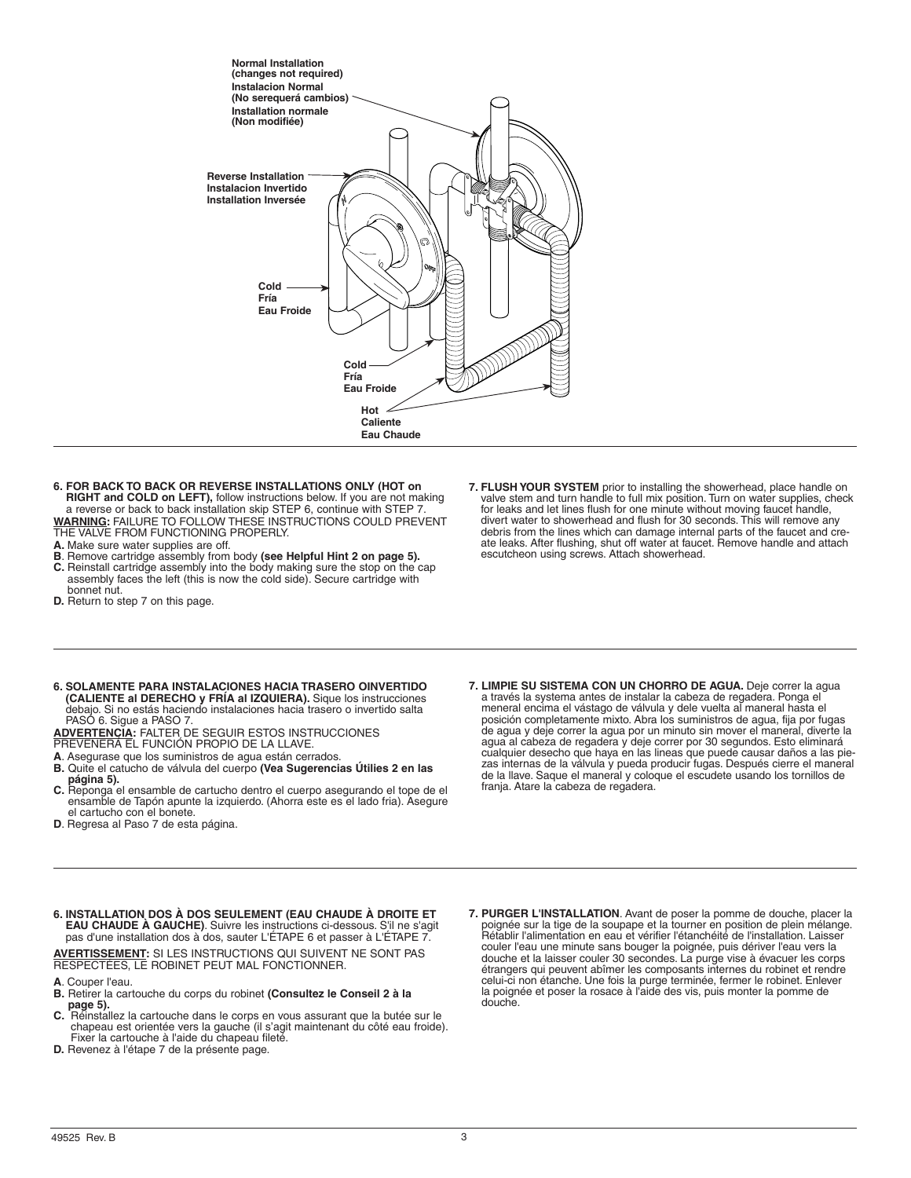

- **6. FOR BACK TO BACK OR REVERSE INSTALLATIONS ONLY (HOT on RIGHT and COLD on LEFT),** follow instructions below. If you are not making a reverse or back to back installation skip STEP 6, continue with STEP 7 **WARNING:** FAILURE TO FOLLOW THESE INSTRUCTIONS COULD PREVENT THE VALVE FROM FUNCTIONING PROPERLY.
- **A.** Make sure water supplies are off.
- **B**. Remove cartridge assembly from body **(see Helpful Hint 2 on page 5). C**. Beinstall cartridge assembly into the body making sure the stop on the **g**
- **C.** Reinstall cartridge assembly into the body making sure the stop on the cap assembly faces the left (this is now the cold side). Secure cartridge with bonnet nut. **D.** Return to step 7 on this page.
- 

**7. FLUSH YOUR SYSTEM** prior to installing the showerhead, place handle on valve stem and turn handle to full mix position. Turn on water supplies, check for leaks and let lines flush for one minute without moving faucet handle, divert water to showerhead and flush for 30 seconds. This will remove any debris from the lines which can damage internal parts of the faucet and cre- ate leaks. After flushing, shut off water at faucet. Remove handle and attach escutcheon using screws. Attach showerhead.

**6. SOLAMENTE PARA INSTALACIONES HACIA TRASERO OINVERTIDO (CALIENTE al DERECHO y FRÍA al IZQUIERA).** Sique los instrucciones debajo. Si no estás haciendo instalaciones hacia trasero o invertido salta PASÓ 6. Sigue a PASO 7.

**ADVERTENCIA:** FALTER DE SEGUIR ESTOS INSTRUCCIONES

PREVENERÁ EL FUNCIÓN PROPIO DE LA LLAVE.

**A**. Asegurase que los suministros de agua están cerrados.

- **B.** Quite el catucho de válvula del cuerpo **(Vea Sugerencias Útilies 2 en las página 5).**
- **C.** Reponga el ensamble de cartucho dentro el cuerpo asegurando el tope de el ensamble de Tapón apunte la izquierdo. (Ahorra este es el lado fria). Asegure el cartucho con el bonete.
- **D**. Regresa al Paso 7 de esta página.
- **7. LIMPIE SU SISTEMA CON UN CHORRO DE AGUA.** Deje correr la agua a través la systema antes de instalar la cabeza de regadera. Ponga el meneral encima el vástago de válvula y dele vuelta al maneral hasta el posición completamente mixto. Abra los suministros de agua, fija por fugas de agua y deje correr la agua por un minuto sin mover el maneral, diverte la agua al cabeza de regadera y deje correr por 30 segundos. Esto eliminará cualquier desecho que haya en las lineas que puede causar daños a las piezas internas de la válvula y pueda producir fugas. Después cierre el maneral de la llave. Saque el maneral y coloque el escudete usando los tornillos de franja. Atare la cabeza de regadera.
- **6. INSTALLATION DOS À DOS SEULEMENT (EAU CHAUDE À DROITE ET EAU CHAUDE À GAUCHE)**. Suivre les instructions ci-dessous. S'il ne s'agit pas d'une installation dos à dos, sauter L'ÉTAPE 6 et passer à L'ÉTAPE 7.

**AVERTISSEMENT:** SI LES INSTRUCTIONS QUI SUIVENT NE SONT P<br>RESPECTÉES, LE ROBINET PEUT MAL FONCTIONNER.

- **A**. Couper l'eau.
- **B.** Retirer la cartouche du corps du robinet **(Consultez le Conseil 2 à la page 5).**
- **C.** Réinstallez la cartouche dans le corps en vous assurant que la butée sur le chapeau est orientée vers la gauche (il s'agit maintenant du côté eau froide). Fixer la cartouche à l'aide du chapeau fileté. **D.** Revenez à l'étape 7 de la présente page.
- 

7. PURGER L'INSTALLATION. Avant de poser la pomme de douche, placer la<br>poignée sur la tige de la soupape et la tourner en position de plein mélange.<br>Rétablir l'alimentation en eau et vérifier l'étanchéité de l'installation couler l'eau une minute sans bouger la poignée, puis dériver l'eau vers la douche et la laisser couler 30 secondes. La purge vise à évacuer les corps étrangers qui peuvent abîmer les composants internes du robinet et rendre celui-ci non étanche. Une fois la purge terminée, fermer le robinet. Enlever la poignée et poser la rosace à l'aide des vis, puis monter la pomme de douche.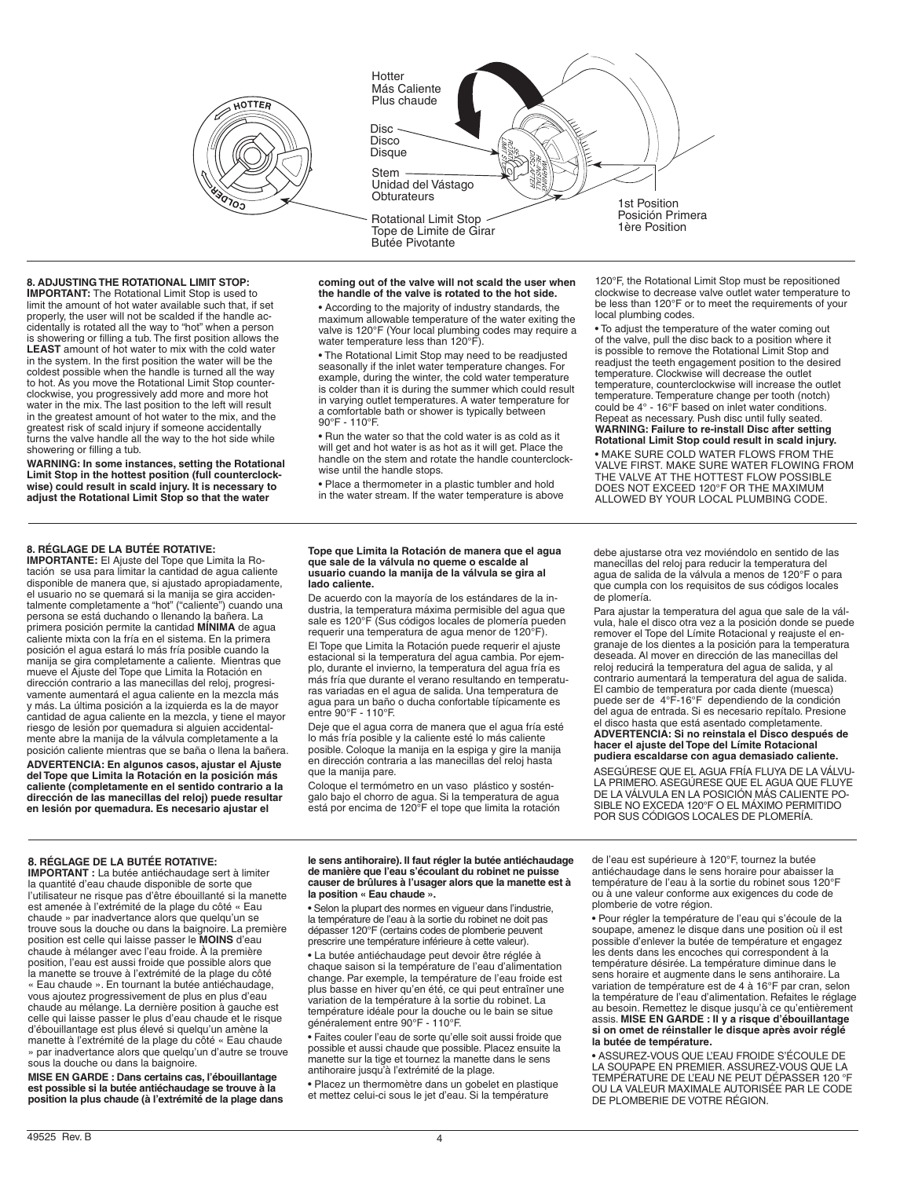

1st Position Posición Primera 1ère Position Hotter Más Caliente Plus chaude Rotational Limit Stop Tope de Limite de Girar Butée Pivotante Stem · Unidad del Vástago **Obturateurs** Disc -Disco **Disque** 

## **8. ADJUSTING THE ROTATIONAL LIMIT STOP:**

**IMPORTANT:** The Rotational Limit Stop is used to limit the amount of hot water available such that, if set properly, the user will not be scalded if the handle accidentally is rotated all the way to "hot" when a person is showering or filling a tub. The first position allows the **LEAST** amount of hot water to mix with the cold water in the system. In the first position the water will be the coldest possible when the handle is turned all the way to hot. As you move the Rotational Limit Stop counterclockwise, you progressively add more and more hot water in the mix. The last position to the left will result in the greatest amount of hot water to the mix, and the greatest risk of scald injury if someone accidentally turns the valve handle all the way to the hot side while showering or filling a tub.

**WARNING: In some instances, setting the Rotational Limit Stop in the hottest position (full counterclockwise) could result in scald injury. It is necessary to adjust the Rotational Limit Stop so that the water** 

#### **coming out of the valve will not scald the user when the handle of the valve is rotated to the hot side.**

• According to the majority of industry standards, the maximum allowable temperature of the water exiting the valve is 120°F (Your local plumbing codes may require a water temperature less than 120°F).

• The Rotational Limit Stop may need to be readjusted seasonally if the inlet water temperature changes. For example, during the winter, the cold water temperature is colder than it is during the summer which could result in varying outlet temperatures. A water temperature for a comfortable bath or shower is typically between 90°F - 110°F.

• Run the water so that the cold water is as cold as it will get and hot water is as hot as it will get. Place the handle on the stem and rotate the handle counterclockwise until the handle stops.

• Place a thermometer in a plastic tumbler and hold in the water stream. If the water temperature is above

120°F, the Rotational Limit Stop must be repositioned clockwise to decrease valve outlet water temperature to be less than 120°F or to meet the requirements of your local plumbing codes.

• To adjust the temperature of the water coming out of the valve, pull the disc back to a position where it is possible to remove the Rotational Limit Stop and readjust the teeth engagement position to the desired temperature. Clockwise will decrease the outlet temperature, counterclockwise will increase the outlet temperature. Temperature change per tooth (notch) could be 4° - 16°F based on inlet water conditions. Repeat as necessary. Push disc until fully seated. **WARNING: Failure to re-install Disc after setting Rotational Limit Stop could result in scald injury.**

• MAKE SURE COLD WATER FLOWS FROM THE VALVE FIRST. MAKE SURE WATER FLOWING FROM THE VALVE AT THE HOTTEST FLOW POSSIBLE DOES NOT EXCEED 120°F OR THE MAXIMUM ALLOWED BY YOUR LOCAL PLUMBING CODE.

### **8. RÉGLAGE DE LA BUTÉE ROTATIVE:**

**IMPORTANTE:** El Ajuste del Tope que Limita la Rotación se usa para limitar la cantidad de agua caliente disponible de manera que, si ajustado apropiadamente, el usuario no se quemará si la manija se gira accidentalmente completamente a "hot" ("caliente") cuando una persona se está duchando o llenando la bañera. La primera posición permite la cantidad **MÍNIMA** de agua caliente mixta con la fría en el sistema. En la primera posición el agua estará lo más fría posible cuando la manija se gira completamente a caliente. Mientras que mueve el Ajuste del Tope que Limita la Rotación en dirección contrario a las manecillas del reloj, progresivamente aumentará el agua caliente en la mezcla más y más. La última posición a la izquierda es la de mayor cantidad de agua caliente en la mezcla, y tiene el mayor riesgo de lesión por quemadura si alguien accidentalmente abre la manija de la válvula completamente a la posición caliente mientras que se baña o llena la bañera.

**ADVERTENCIA: En algunos casos, ajustar el Ajuste del Tope que Limita la Rotación en la posición más caliente (completamente en el sentido contrario a la dirección de las manecillas del reloj) puede resultar en lesión por quemadura. Es necesario ajustar el** 

#### **Tope que Limita la Rotación de manera que el agua que sale de la válvula no queme o escalde al usuario cuando la manija de la válvula se gira al lado caliente.**

De acuerdo con la mayoría de los estándares de la industria, la temperatura máxima permisible del agua que sale es 120°F (Sus códigos locales de plomería pueden requerir una temperatura de agua menor de 120°F).

El Tope que Limita la Rotación puede requerir el ajuste estacional si la temperatura del agua cambia. Por ejemplo, durante el invierno, la temperatura del agua fría es más fría que durante el verano resultando en temperaturas variadas en el agua de salida. Una temperatura de agua para un baño o ducha confortable típicamente es entre 90°F - 110°F.

Deje que el agua corra de manera que el agua fría esté lo más fría posible y la caliente esté lo más caliente posible. Coloque la manija en la espiga y gire la manija en dirección contraria a las manecillas del reloj hasta que la manija pare.

Coloque el termómetro en un vaso plástico y sosténgalo bajo el chorro de agua. Si la temperatura de agua está por encima de 120°F el tope que limita la rotación

debe ajustarse otra vez moviéndolo en sentido de las manecillas del reloj para reducir la temperatura del agua de salida de la válvula a menos de 120°F o para que cumpla con los requisitos de sus códigos locales de plomería.

Para ajustar la temperatura del agua que sale de la válvula, hale el disco otra vez a la posición donde se puede remover el Tope del Límite Rotacional y reajuste el engranaje de los dientes a la posición para la temperatura deseada. Al mover en dirección de las manecillas del reloj reducirá la temperatura del agua de salida, y al contrario aumentará la temperatura del agua de salida. El cambio de temperatura por cada diente (muesca) puede ser de 4°F-16°F dependiendo de la condición del agua de entrada. Si es necesario repítalo. Presione el disco hasta que está asentado completamente. **ADVERTENCIA: Si no reinstala el Disco después de hacer el ajuste del Tope del Límite Rotacional pudiera escaldarse con agua demasiado caliente.** 

ASEGÚRESE QUE EL AGUA FRÍA FLUYA DE LA VÁLVU-LA PRIMERO. ASEGÚRESE QUE EL AGUA QUE FLUYE DE LA VÁLVULA EN LA POSICIÓN MÁS CALIENTE PO-SIBLE NO EXCEDA 120°F O EL MÁXIMO PERMITIDO POR SUS CÓDIGOS LOCALES DE PLOMERÍA.

### **8. RÉGLAGE DE LA BUTÉE ROTATIVE:**

**IMPORTANT :** La butée antiéchaudage sert à limiter la quantité d'eau chaude disponible de sorte que l'utilisateur ne risque pas d'être ébouillanté si la manette est amenée à l'extrémité de la plage du côté « Eau chaude » par inadvertance alors que quelqu'un se trouve sous la douche ou dans la baignoire. La première position est celle qui laisse passer le **MOINS** d'eau chaude à mélanger avec l'eau froide. À la première position, l'eau est aussi froide que possible alors que la manette se trouve à l'extrémité de la plage du côté « Eau chaude ». En tournant la butée antiéchaudage, vous ajoutez progressivement de plus en plus d'eau chaude au mélange. La dernière position à gauche est celle qui laisse passer le plus d'eau chaude et le risque d'ébouillantage est plus élevé si quelqu'un amène la manette à l'extrémité de la plage du côté « Eau chaude » par inadvertance alors que quelqu'un d'autre se trouve sous la douche ou dans la baignoire.

**MISE EN GARDE : Dans certains cas, l'ébouillantage est possible si la butée antiéchaudage se trouve à la position la plus chaude (à l'extrémité de la plage dans**  **le sens antihoraire). Il faut régler la butée antiéchaudage de manière que l'eau s'écoulant du robinet ne puisse causer de brûlures à l'usager alors que la manette est à la position « Eau chaude ».**

• Selon la plupart des normes en vigueur dans l'industrie, la température de l'eau à la sortie du robinet ne doit pas dépasser 120°F (certains codes de plomberie peuvent prescrire une température inférieure à cette valeur).

• La butée antiéchaudage peut devoir être réglée à chaque saison si la température de l'eau d'alimentation change. Par exemple, la température de l'eau froide est plus basse en hiver qu'en été, ce qui peut entraîner une variation de la température à la sortie du robinet. La température idéale pour la douche ou le bain se situe généralement entre 90°F - 110°F.

• Faites couler l'eau de sorte qu'elle soit aussi froide que possible et aussi chaude que possible. Placez ensuite la manette sur la tige et tournez la manette dans le sens antihoraire jusqu'à l'extrémité de la plage.

• Placez un thermomètre dans un gobelet en plastique et mettez celui-ci sous le jet d'eau. Si la température

de l'eau est supérieure à 120°F, tournez la butée antiéchaudage dans le sens horaire pour abaisser la température de l'eau à la sortie du robinet sous 120°F ou à une valeur conforme aux exigences du code de plomberie de votre région.

• Pour régler la température de l'eau qui s'écoule de la soupape, amenez le disque dans une position où il est possible d'enlever la butée de température et engagez les dents dans les encoches qui correspondent à la température désirée. La température diminue dans le sens horaire et augmente dans le sens antihoraire. La variation de température est de 4 à 16°F par cran, selon la température de l'eau d'alimentation. Refaites le réglage au besoin. Remettez le disque jusqu'à ce qu'entièrement assis. **MISE EN GARDE : Il y a risque d'ébouillantage si on omet de réinstaller le disque après avoir réglé la butée de température.**

• ASSUREZ-VOUS QUE L'EAU FROIDE S'ÉCOULE DE LA SOUPAPE EN PREMIER. ASSUREZ-VOUS QUE LA TEMPÉRATURE DE L'EAU NE PEUT DÉPASSER 120 °F OU LA VALEUR MAXIMALE AUTORISÉE PAR LE CODE DE PLOMBERIE DE VOTRE RÉGION.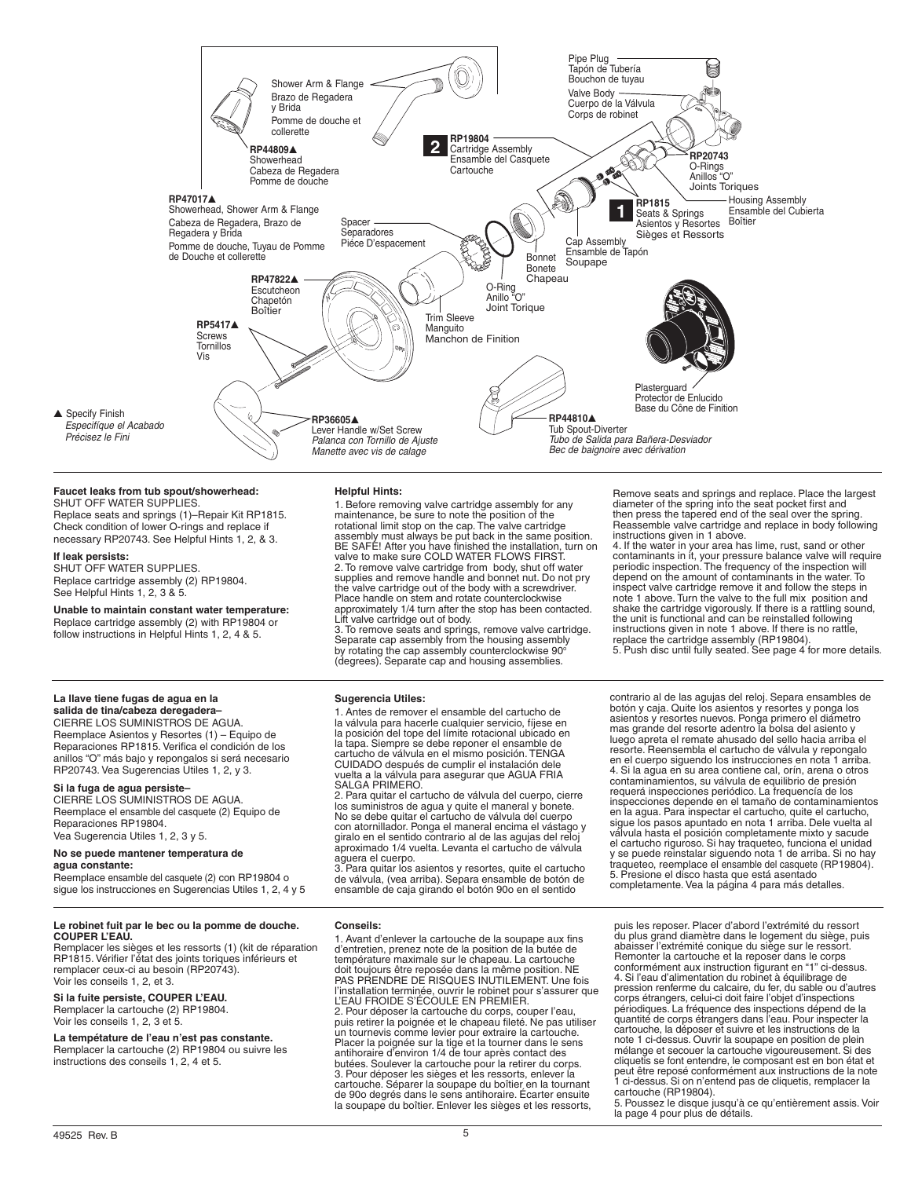

## **Faucet leaks from tub spout/showerhead:**

SHUT OFF WATER SUPPLIES. Replace seats and springs (1)–Repair Kit RP1815. Check condition of lower O-rings and replace if necessary RP20743. See Helpful Hints 1, 2, & 3.

#### **If leak persists:**

SHUT OFF WATER SUPPLIES. Replace cartridge assembly (2) RP19804. See Helpful Hints 1, 2, 3 & 5.

**Unable to maintain constant water temperature:** Replace cartridge assembly (2) with RP19804 or follow instructions in Helpful Hints 1, 2, 4 & 5.

## **Helpful Hints:**

1. Before removing valve cartridge assembly for any maintenance, be sure to note the position of the rotational limit stop on the cap. The valve cartridge assembly must always be put back in the same position. BE SAFE! After you have finished the installation, turn on valve to make sure COLD WATER FLOWS FIRST. 2. To remove valve cartridge from body, shut off water supplies and remove handle and bonnet nut. Do not pry the valve cartridge out of the body with a screwdriver. Place handle on stem and rotate counterclockwise approximately 1/4 turn after the stop has been contacted. Lift valve cartridge out of body.

3. To remove seats and springs, remove valve cartridge. Separate cap assembly from the housing assembly by rotating the cap assembly counterclockwise 90°<br>(degrees). Separate cap and housing assemblies.

### **Sugerencia Utiles:**

1. Antes de remover el ensamble del cartucho de la válvula para hacerle cualquier servicio, fíjese en la posición del tope del límite rotacional ubicado en la tapa. Siempre se debe reponer el ensamble de cartucho de válvula en el mismo posición. TENGA CUIDADO después de cumplir el instalación dele vuelta a la válvula para asegurar que AGUA FRIA SALGA PRIMERO.

2. Para quitar el cartucho de válvula del cuerpo, cierre los suministros de agua y quite el maneral y bonete. No se debe quitar el cartucho de válvula del cuerpo con atornillador. Ponga el maneral encima el vástago y giralo en el sentido contrario al de las agujas del reloj aproximado 1/4 vuelta. Levanta el cartucho de válvula

aguera el cuerpo. 3. Para quitar los asientos y resortes, quite el cartucho de válvula, (vea arriba). Separa ensamble de botón de ensamble de caja girando el botón 90o en el sentido

Remove seats and springs and replace. Place the largest diameter of the spring into the seat pocket first and then press the tapered end of the seal over the spring.

Reassemble valve cartridge and replace in body following<br>instructions given in 1 above.<br>4. If the water in your area has lime, rust, sand or other<br>contaminants in it, your pressure balance valve will require<br>periodic inspe depend on the amount of contaminants in the water. To inspect valve cartridge remove it and follow the steps in note 1 above. Turn the valve to the full mix position and shake the cartridge vigorously. If there is a rattling sound, the unit is functional and can be reinstalled following instructions given in note 1 above. If there is no rattle,

replace the cartridge assembly (RP19804). 5. Push disc until fully seated. See page 4 for more details.

contrario al de las agujas del reloj. Separa ensambles de botón y caja. Quite los asientos y resortes y ponga los asientos y resortes nuevos. Ponga primero el diámetro mas grande del resorte adentro la bolsa del asiento y luego apreta el remate ahusado del sello hacia arriba el resorte. Reensembla el cartucho de válvula y repongalo en el cuerpo siguendo los instrucciones en nota 1 arriba. 4. Si la agua en su area contiene cal, orín, arena o otros contaminamientos, su válvula de equilibrio de presión requerá inspecciones periódico. La frequencía de los inspecciones depende en el tamaño de contaminamientos en la agua. Para inspectar el cartucho, quite el cartucho, sigue los pasos apuntado en nota 1 arriba. Dele vuelta al válvula hasta el posición completamente mixto y sacude el cartucho riguroso. Si hay traqueteo, funciona el unidad y se puede reinstalar siguendo nota 1 de arriba. Si no hay traqueteo, reemplace el ensamble del casquete (RP19804). 5. Presione el disco hasta que está asentado completamente. Vea la página 4 para más detalles.

#### **La llave tiene fugas de agua en la salida de tina/cabeza deregadera–** CIERRE Los Suministros de Agua.

Reemplace Asientos y Resortes (1) – Equipo de Reparaciones RP1815. Verifica el condición de los anillos "O" más bajo y repongalos si será necesario RP20743. Vea Sugerencias Utiles 1, 2, y 3.

### **Si la fuga de agua persiste–**

CIERRE LOS SUMINISTROS DE AGUA. Reemplace el ensamble del casquete (2) Equipo de Reparaciones RP19804. Vea Sugerencia Utiles 1, 2, 3 y 5.

## **No se puede mantener temperatura de**

## **agua constante:**

Reemplace ensamble del casquete (2) con RP19804 o sigue los instrucciones en Sugerencias Utiles 1, 2, 4 y 5

#### **Le robinet fuit par le bec ou la pomme de douche. COUPER L'EAU.**

Remplacer les sièges et les ressorts (1) (kit de réparation RP1815. Vérifier l'état des joints toriques inférieurs et remplacer ceux-ci au besoin (RP20743). Voir les conseils 1, 2, et 3.

## **Si la fuite persiste, COUPER L'EAU.**

Remplacer la cartouche (2) RP19804. Voir les conseils 1, 2, 3 et 5.

**La tempétature de l'eau n'est pas constante.**<br>Remplacer la cartouche (2) RP19804 ou suivre les instructions des conseils 1, 2, 4 et 5.

### **Conseils:**

1. Avant d'enlever la cartouche de la soupape aux fins d'entretien, prenez note de la position de la butée de température maximale sur le chapeau. La cartouche<br>doit toujours être reposée dans la même position. NE<br>PAS PRENDRE DE RISQUES INUTILEMENT. Une fois<br>l'installation terminée, ouvrir le robinet pour s'assurer que<br>L'EAU FROIDE 2. Pour déposer la cartouche du corps, couper l'eau, puis retirer la poignée et le chapeau fileté. Ne pas utiliser un tournevis comme levier pour extraire la cartouche. Placer la poignée sur la tige et la tourner dans le sens<br>antihoraire d'environ 1/4 de tour après contact des<br>butées. Soulever la cartouche pour la retirer du corps.<br>3. Pour déposer les sièges et les ressorts, enlever la<br>ca la soupape du boîtier. Enlever les sièges et les ressorts,

puis les reposer. Placer d'abord l'extrémité du ressort du plus grand diamètre dans le logement du siège, puis abaisser l'extrémité conique du siège sur le ressort. Remonter la cartouche et la reposer dans le corps conformément aux instruction figurant en "1" ci-dessus. 4. Si l'eau d'alimentation du robinet à équilibrage de pression renferme du calcaire, du fer, du sable ou d'autres corps étrangers, celui-ci doit faire l'objet d'inspections périodiques. La fréquence des inspections dépend de la quantité de corps étrangers dans l'eau. Pour inspecter la cartouche, la déposer et suivre et les instructions de la note 1 ci-dessus. Ouvrir la soupape en position de plein mélange et secouer la cartouche vigoureusement. Si des cliquetis se font entendre, le composant est en bon état et peut être reposé conformément aux instructions de la note 1 ci-dessus. Si on n'entend pas de cliquetis, remplacer la cartouche (RP19804).

5. Poussez le disque jusqu'à ce qu'entièrement assis. Voir la page 4 pour plus de détails.